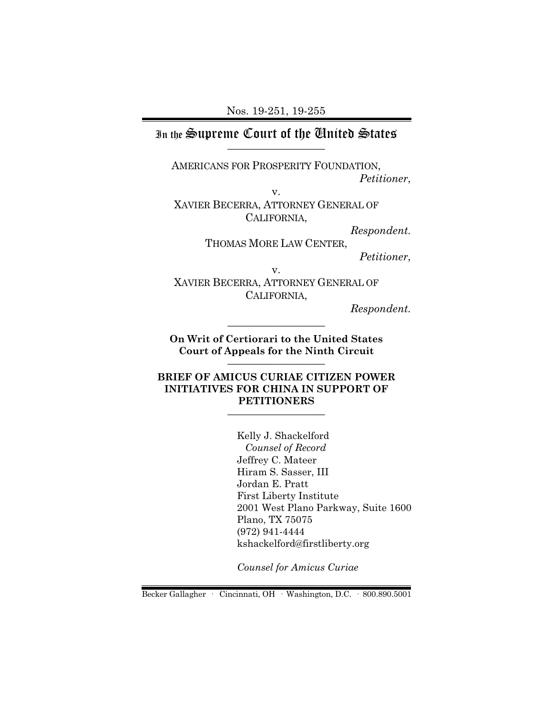### In the Supreme Court of the United States \_\_\_\_\_\_\_\_\_\_\_\_\_\_\_\_\_\_

AMERICANS FOR PROSPERITY FOUNDATION,

*Petitioner*,

v. XAVIER BECERRA, ATTORNEY GENERAL OF CALIFORNIA,

*Respondent*.

THOMAS MORE LAW CENTER, *Petitioner*,

v.

XAVIER BECERRA, ATTORNEY GENERAL OF CALIFORNIA,

*Respondent.*

**On Writ of Certiorari to the United States Court of Appeals for the Ninth Circuit** \_\_\_\_\_\_\_\_\_\_\_\_\_\_\_\_\_\_

\_\_\_\_\_\_\_\_\_\_\_\_\_\_\_\_\_\_

#### **BRIEF OF AMICUS CURIAE CITIZEN POWER INITIATIVES FOR CHINA IN SUPPORT OF PETITIONERS**  $\_$

Kelly J. Shackelford *Counsel of Record* Jeffrey C. Mateer Hiram S. Sasser, III Jordan E. Pratt First Liberty Institute 2001 West Plano Parkway, Suite 1600 Plano, TX 75075 (972) 941-4444 kshackelford@firstliberty.org

*Counsel for Amicus Curiae*

Becker Gallagher · Cincinnati, OH · Washington, D.C. · 800.890.5001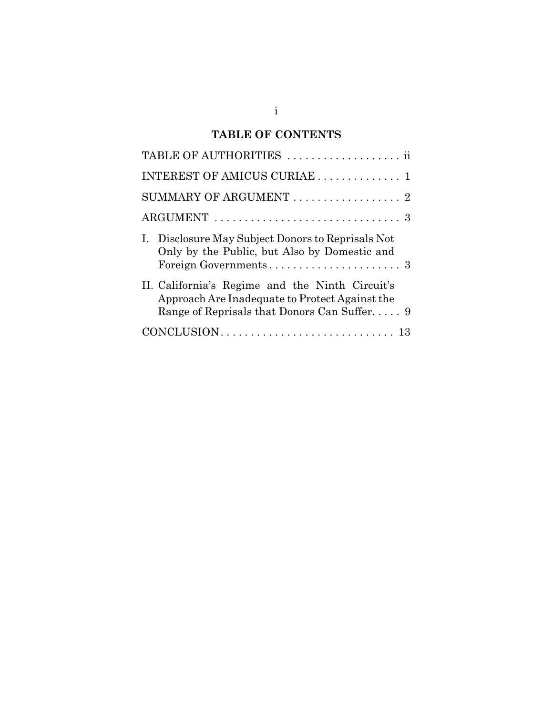# **TABLE OF CONTENTS**

| TABLE OF AUTHORITIES  ii                                                                                                                         |
|--------------------------------------------------------------------------------------------------------------------------------------------------|
| INTEREST OF AMICUS CURIAE 1                                                                                                                      |
| SUMMARY OF ARGUMENT  2                                                                                                                           |
|                                                                                                                                                  |
| I. Disclosure May Subject Donors to Reprisals Not<br>Only by the Public, but Also by Domestic and                                                |
| II. California's Regime and the Ninth Circuit's<br>Approach Are Inadequate to Protect Against the<br>Range of Reprisals that Donors Can Suffer 9 |
|                                                                                                                                                  |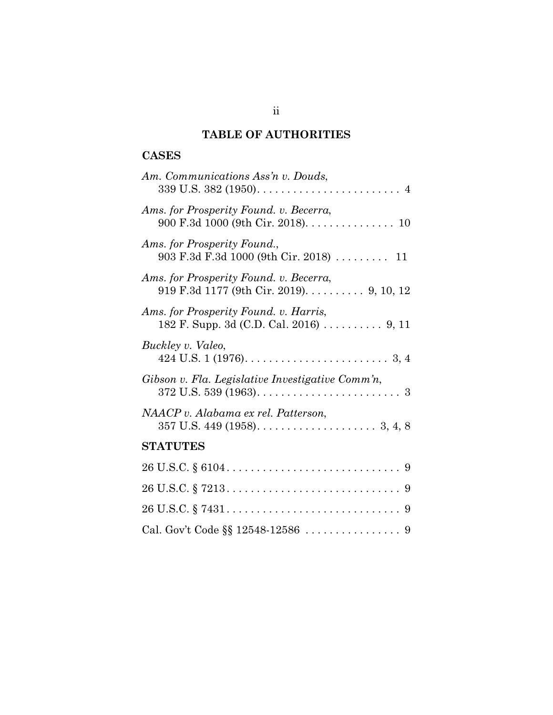# **TABLE OF AUTHORITIES**

## **CASES**

| Am. Communications Ass'n v. Douds,                                                               |
|--------------------------------------------------------------------------------------------------|
| Ams. for Prosperity Found. v. Becerra,<br>900 F.3d 1000 (9th Cir. 2018). 10                      |
| Ams. for Prosperity Found.,<br>903 F.3d F.3d 1000 (9th Cir. 2018)  11                            |
| Ams. for Prosperity Found. v. Becerra,<br>919 F.3d 1177 (9th Cir. 2019). $\dots \dots$ 9, 10, 12 |
| Ams. for Prosperity Found. v. Harris,<br>182 F. Supp. 3d (C.D. Cal. 2016) 9, 11                  |
| Buckley v. Valeo,                                                                                |
| Gibson v. Fla. Legislative Investigative Comm'n,                                                 |
| NAACP v. Alabama ex rel. Patterson,                                                              |
| <b>STATUTES</b>                                                                                  |
|                                                                                                  |
|                                                                                                  |
|                                                                                                  |
|                                                                                                  |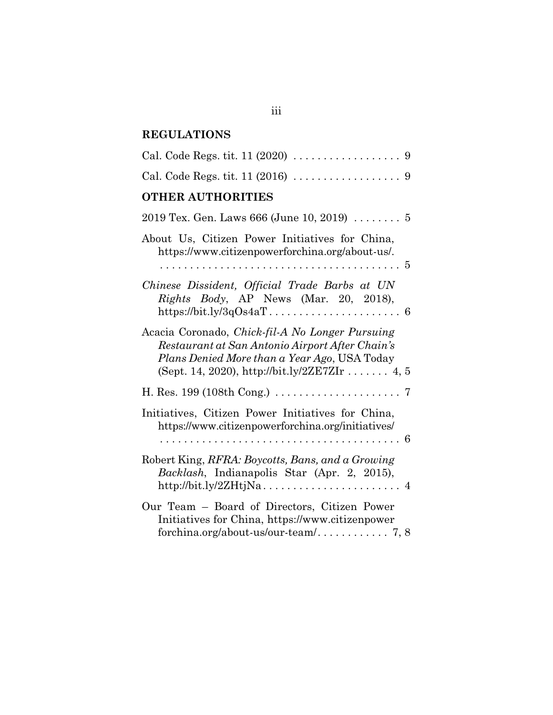# **REGULATIONS**

| Cal. Code Regs. tit. $11 (2020) \ldots \ldots \ldots \ldots \ldots$                                                                                                                                 |
|-----------------------------------------------------------------------------------------------------------------------------------------------------------------------------------------------------|
|                                                                                                                                                                                                     |
| <b>OTHER AUTHORITIES</b>                                                                                                                                                                            |
| 2019 Tex. Gen. Laws 666 (June 10, 2019) $\ldots \ldots 5$                                                                                                                                           |
| About Us, Citizen Power Initiatives for China,<br>https://www.citizenpowerforchina.org/about-us/.                                                                                                   |
|                                                                                                                                                                                                     |
| Chinese Dissident, Official Trade Barbs at UN<br>Rights Body, AP News (Mar. 20, 2018),                                                                                                              |
| Acacia Coronado, Chick-fil-A No Longer Pursuing<br>Restaurant at San Antonio Airport After Chain's<br>Plans Denied More than a Year Ago, USA Today<br>(Sept. 14, 2020), http://bit.ly/2ZE7ZIr  4, 5 |
|                                                                                                                                                                                                     |
| Initiatives, Citizen Power Initiatives for China,<br>https://www.citizenpowerforchina.org/initiatives/                                                                                              |
| Robert King, RFRA: Boycotts, Bans, and a Growing<br>Backlash, Indianapolis Star (Apr. 2, 2015),                                                                                                     |
| Our Team – Board of Directors, Citizen Power<br>Initiatives for China, https://www.citizenpower                                                                                                     |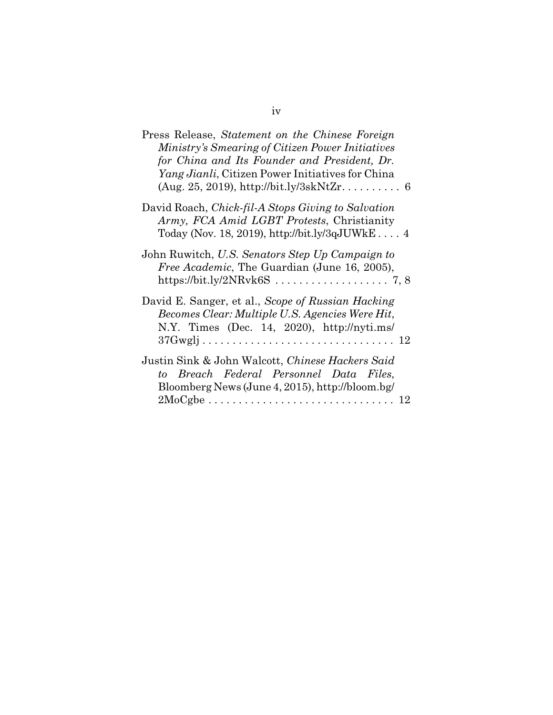| Press Release, Statement on the Chinese Foreign<br>Ministry's Smearing of Citizen Power Initiatives<br>for China and Its Founder and President, Dr.<br><i>Yang Jianli</i> , Citizen Power Initiatives for China<br>$(Aug. 25, 2019), http://bit.ly/3skNtZr 6$ |
|---------------------------------------------------------------------------------------------------------------------------------------------------------------------------------------------------------------------------------------------------------------|
| David Roach, Chick-fil-A Stops Giving to Salvation<br>Army, FCA Amid LGBT Protests, Christianity<br>Today (Nov. 18, 2019), http://bit.ly/3qJUWkE 4                                                                                                            |
| John Ruwitch, U.S. Senators Step Up Campaign to<br><i>Free Academic</i> , The Guardian (June 16, 2005),                                                                                                                                                       |
| David E. Sanger, et al., Scope of Russian Hacking<br>Becomes Clear: Multiple U.S. Agencies Were Hit,<br>N.Y. Times $(Dec. 14, 2020)$ , http://nyti.ms/                                                                                                        |
| Justin Sink & John Walcott, Chinese Hackers Said<br>to Breach Federal Personnel Data Files,<br>Bloomberg News (June 4, 2015), http://bloom.bg/<br>$2MoCgbe \ldots \ldots \ldots \ldots \ldots \ldots \ldots \ldots \ldots \ldots 12$                          |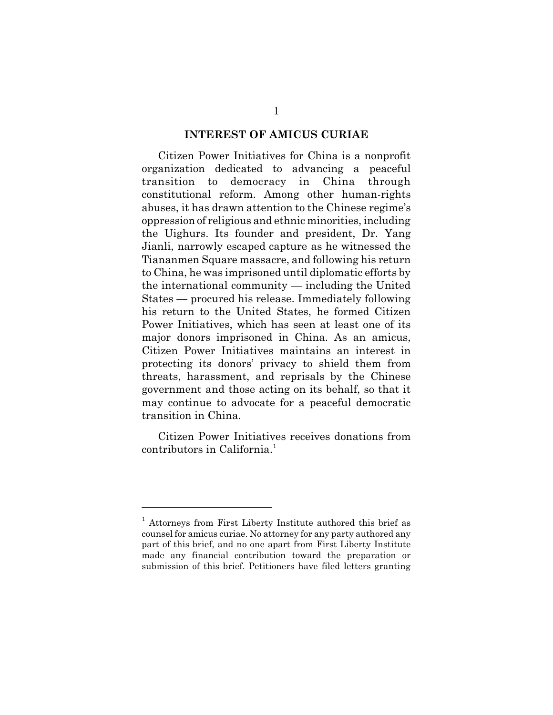#### **INTEREST OF AMICUS CURIAE**

Citizen Power Initiatives for China is a nonprofit organization dedicated to advancing a peaceful transition to democracy in China through constitutional reform. Among other human-rights abuses, it has drawn attention to the Chinese regime's oppression of religious and ethnic minorities, including the Uighurs. Its founder and president, Dr. Yang Jianli, narrowly escaped capture as he witnessed the Tiananmen Square massacre, and following his return to China, he was imprisoned until diplomatic efforts by the international community — including the United States — procured his release. Immediately following his return to the United States, he formed Citizen Power Initiatives, which has seen at least one of its major donors imprisoned in China. As an amicus, Citizen Power Initiatives maintains an interest in protecting its donors' privacy to shield them from threats, harassment, and reprisals by the Chinese government and those acting on its behalf, so that it may continue to advocate for a peaceful democratic transition in China.

Citizen Power Initiatives receives donations from contributors in California.<sup>1</sup>

<sup>&</sup>lt;sup>1</sup> Attorneys from First Liberty Institute authored this brief as counsel for amicus curiae. No attorney for any party authored any part of this brief, and no one apart from First Liberty Institute made any financial contribution toward the preparation or submission of this brief. Petitioners have filed letters granting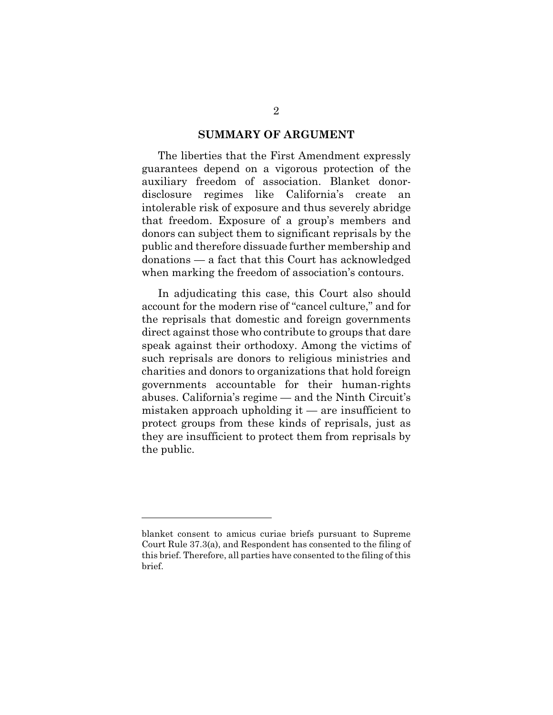#### **SUMMARY OF ARGUMENT**

The liberties that the First Amendment expressly guarantees depend on a vigorous protection of the auxiliary freedom of association. Blanket donordisclosure regimes like California's create an intolerable risk of exposure and thus severely abridge that freedom. Exposure of a group's members and donors can subject them to significant reprisals by the public and therefore dissuade further membership and donations — a fact that this Court has acknowledged when marking the freedom of association's contours.

In adjudicating this case, this Court also should account for the modern rise of "cancel culture," and for the reprisals that domestic and foreign governments direct against those who contribute to groups that dare speak against their orthodoxy. Among the victims of such reprisals are donors to religious ministries and charities and donors to organizations that hold foreign governments accountable for their human-rights abuses. California's regime — and the Ninth Circuit's mistaken approach upholding it — are insufficient to protect groups from these kinds of reprisals, just as they are insufficient to protect them from reprisals by the public.

blanket consent to amicus curiae briefs pursuant to Supreme Court Rule 37.3(a), and Respondent has consented to the filing of this brief. Therefore, all parties have consented to the filing of this brief.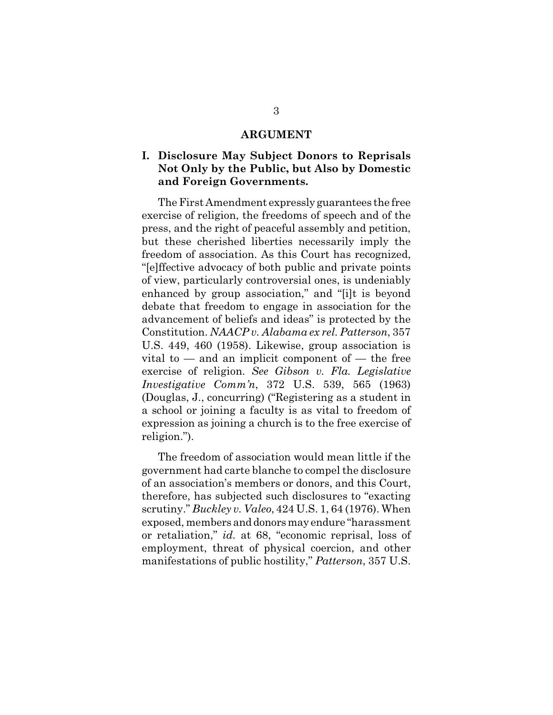#### **ARGUMENT**

## **I. Disclosure May Subject Donors to Reprisals Not Only by the Public, but Also by Domestic and Foreign Governments.**

The First Amendment expressly guarantees the free exercise of religion, the freedoms of speech and of the press, and the right of peaceful assembly and petition, but these cherished liberties necessarily imply the freedom of association. As this Court has recognized, "[e]ffective advocacy of both public and private points of view, particularly controversial ones, is undeniably enhanced by group association," and "[i]t is beyond debate that freedom to engage in association for the advancement of beliefs and ideas" is protected by the Constitution. *NAACP v. Alabama ex rel. Patterson*, 357 U.S. 449, 460 (1958). Likewise, group association is vital to  $-$  and an implicit component of  $-$  the free exercise of religion. *See Gibson v. Fla. Legislative Investigative Comm'n*, 372 U.S. 539, 565 (1963) (Douglas, J., concurring) ("Registering as a student in a school or joining a faculty is as vital to freedom of expression as joining a church is to the free exercise of religion.").

The freedom of association would mean little if the government had carte blanche to compel the disclosure of an association's members or donors, and this Court, therefore, has subjected such disclosures to "exacting scrutiny." *Buckley v. Valeo*, 424 U.S. 1, 64 (1976). When exposed, members and donors may endure "harassment or retaliation," *id.* at 68, "economic reprisal, loss of employment, threat of physical coercion, and other manifestations of public hostility," *Patterson*, 357 U.S.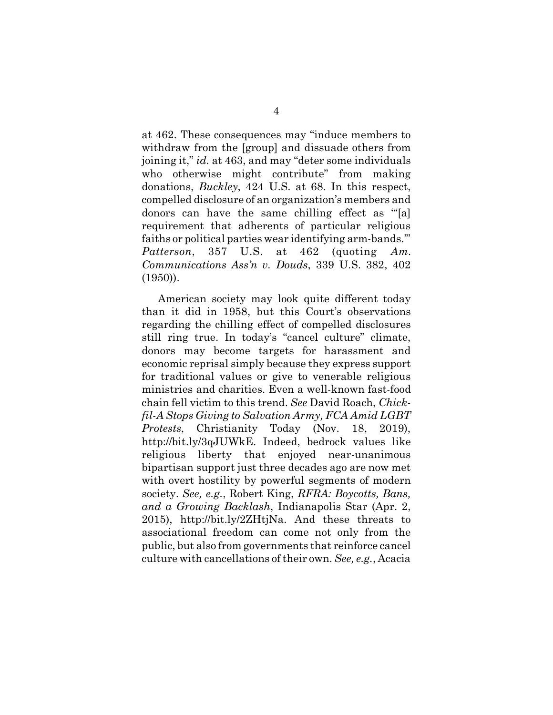at 462. These consequences may "induce members to withdraw from the [group] and dissuade others from joining it," *id.* at 463, and may "deter some individuals who otherwise might contribute" from making donations, *Buckley*, 424 U.S. at 68. In this respect, compelled disclosure of an organization's members and donors can have the same chilling effect as "'[a] requirement that adherents of particular religious faiths or political parties wear identifying arm-bands.'" *Patterson*, 357 U.S. at 462 (quoting *Am. Communications Ass'n v. Douds*, 339 U.S. 382, 402 (1950)).

American society may look quite different today than it did in 1958, but this Court's observations regarding the chilling effect of compelled disclosures still ring true. In today's "cancel culture" climate, donors may become targets for harassment and economic reprisal simply because they express support for traditional values or give to venerable religious ministries and charities. Even a well-known fast-food chain fell victim to this trend. *See* David Roach, *Chickfil-A Stops Giving to Salvation Army, FCA Amid LGBT Protests*, Christianity Today (Nov. 18, 2019), http://bit.ly/3qJUWkE. Indeed, bedrock values like religious liberty that enjoyed near-unanimous bipartisan support just three decades ago are now met with overt hostility by powerful segments of modern society. *See, e.g.*, Robert King, *RFRA: Boycotts, Bans, and a Growing Backlash*, Indianapolis Star (Apr. 2, 2015), http://bit.ly/2ZHtjNa. And these threats to associational freedom can come not only from the public, but also from governments that reinforce cancel culture with cancellations of their own. *See, e.g.*, Acacia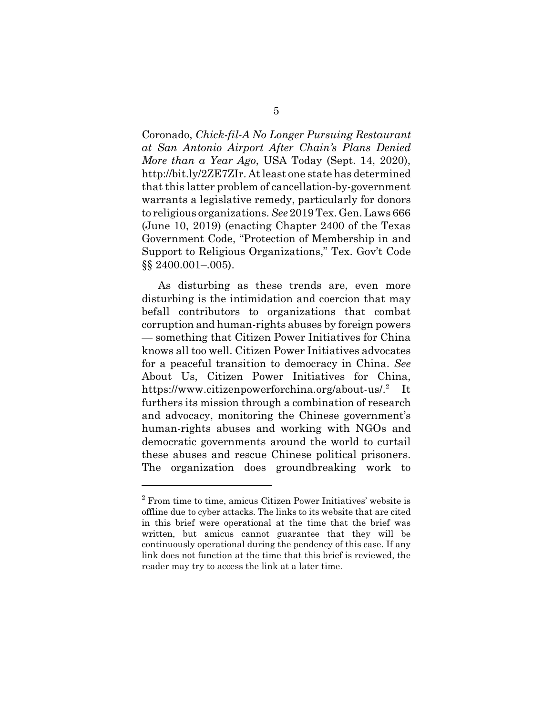Coronado, *Chick-fil-A No Longer Pursuing Restaurant at San Antonio Airport After Chain's Plans Denied More than a Year Ago*, USA Today (Sept. 14, 2020), http://bit.ly/2ZE7ZIr. At least one state has determined that this latter problem of cancellation-by-government warrants a legislative remedy, particularly for donors to religious organizations. *See* 2019 Tex. Gen. Laws 666 (June 10, 2019) (enacting Chapter 2400 of the Texas Government Code, "Protection of Membership in and Support to Religious Organizations," Tex. Gov't Code §§ 2400.001–.005).

As disturbing as these trends are, even more disturbing is the intimidation and coercion that may befall contributors to organizations that combat corruption and human-rights abuses by foreign powers — something that Citizen Power Initiatives for China knows all too well. Citizen Power Initiatives advocates for a peaceful transition to democracy in China. *See* About Us, Citizen Power Initiatives for China, https://www.citizenpowerforchina.org/about-us/.<sup>2</sup> It furthers its mission through a combination of research and advocacy, monitoring the Chinese government's human-rights abuses and working with NGOs and democratic governments around the world to curtail these abuses and rescue Chinese political prisoners. The organization does groundbreaking work to

<sup>&</sup>lt;sup>2</sup> From time to time, amicus Citizen Power Initiatives' website is offline due to cyber attacks. The links to its website that are cited in this brief were operational at the time that the brief was written, but amicus cannot guarantee that they will be continuously operational during the pendency of this case. If any link does not function at the time that this brief is reviewed, the reader may try to access the link at a later time.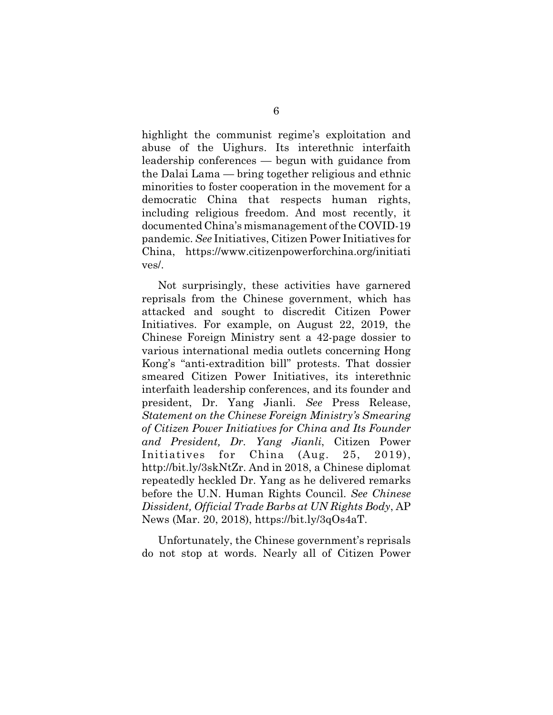highlight the communist regime's exploitation and abuse of the Uighurs. Its interethnic interfaith leadership conferences — begun with guidance from the Dalai Lama — bring together religious and ethnic minorities to foster cooperation in the movement for a democratic China that respects human rights, including religious freedom. And most recently, it documented China's mismanagement of the COVID-19 pandemic. *See* Initiatives, Citizen Power Initiatives for China, https://www.citizenpowerforchina.org/initiati ves/.

Not surprisingly, these activities have garnered reprisals from the Chinese government, which has attacked and sought to discredit Citizen Power Initiatives. For example, on August 22, 2019, the Chinese Foreign Ministry sent a 42-page dossier to various international media outlets concerning Hong Kong's "anti-extradition bill" protests. That dossier smeared Citizen Power Initiatives, its interethnic interfaith leadership conferences, and its founder and president, Dr. Yang Jianli. *See* Press Release, *Statement on the Chinese Foreign Ministry's Smearing of Citizen Power Initiatives for China and Its Founder and President, Dr. Yang Jianli*, Citizen Power Initiatives for China (Aug. 25, 2019), http://bit.ly/3skNtZr. And in 2018, a Chinese diplomat repeatedly heckled Dr. Yang as he delivered remarks before the U.N. Human Rights Council. *See Chinese Dissident, Official Trade Barbs at UN Rights Body*, AP News (Mar. 20, 2018), https://bit.ly/3qOs4aT.

Unfortunately, the Chinese government's reprisals do not stop at words. Nearly all of Citizen Power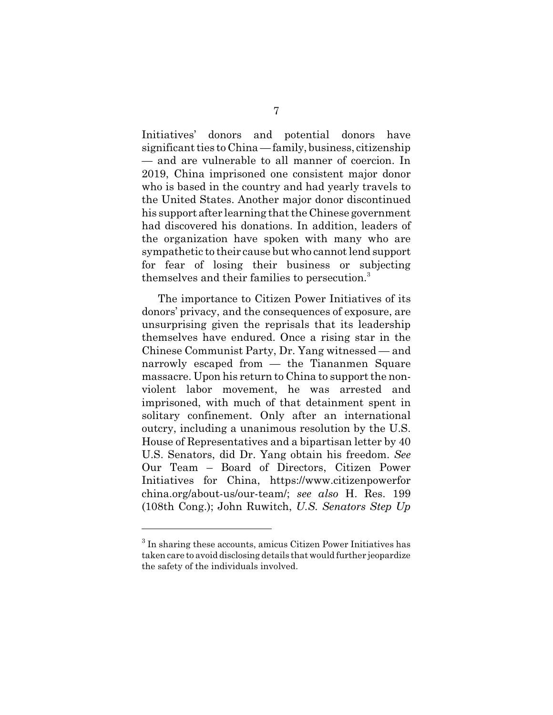Initiatives' donors and potential donors have significant ties to China — family, business, citizenship — and are vulnerable to all manner of coercion. In 2019, China imprisoned one consistent major donor who is based in the country and had yearly travels to the United States. Another major donor discontinued his support after learning that the Chinese government had discovered his donations. In addition, leaders of the organization have spoken with many who are sympathetic to their cause but who cannot lend support for fear of losing their business or subjecting themselves and their families to persecution.<sup>3</sup>

The importance to Citizen Power Initiatives of its donors' privacy, and the consequences of exposure, are unsurprising given the reprisals that its leadership themselves have endured. Once a rising star in the Chinese Communist Party, Dr. Yang witnessed — and narrowly escaped from — the Tiananmen Square massacre. Upon his return to China to support the nonviolent labor movement, he was arrested and imprisoned, with much of that detainment spent in solitary confinement. Only after an international outcry, including a unanimous resolution by the U.S. House of Representatives and a bipartisan letter by 40 U.S. Senators, did Dr. Yang obtain his freedom. *See* Our Team – Board of Directors, Citizen Power Initiatives for China, https://www.citizenpowerfor china.org/about-us/our-team/; *see also* H. Res. 199 (108th Cong.); John Ruwitch, *U.S. Senators Step Up*

 $3$  In sharing these accounts, amicus Citizen Power Initiatives has taken care to avoid disclosing details that would further jeopardize the safety of the individuals involved.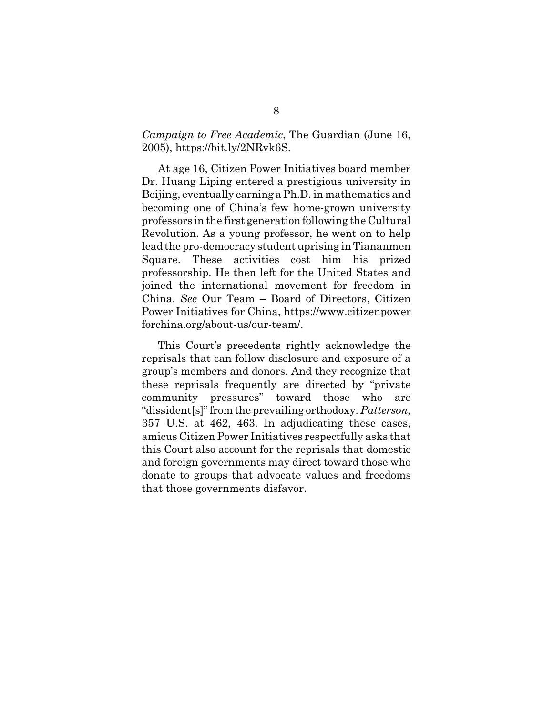### *Campaign to Free Academic*, The Guardian (June 16, 2005), https://bit.ly/2NRvk6S.

At age 16, Citizen Power Initiatives board member Dr. Huang Liping entered a prestigious university in Beijing, eventually earning a Ph.D. in mathematics and becoming one of China's few home-grown university professors in the first generation following the Cultural Revolution. As a young professor, he went on to help lead the pro-democracy student uprising in Tiananmen Square. These activities cost him his prized professorship. He then left for the United States and joined the international movement for freedom in China. *See* Our Team – Board of Directors, Citizen Power Initiatives for China, https://www.citizenpower forchina.org/about-us/our-team/.

This Court's precedents rightly acknowledge the reprisals that can follow disclosure and exposure of a group's members and donors. And they recognize that these reprisals frequently are directed by "private community pressures" toward those who are "dissident[s]" from the prevailing orthodoxy. *Patterson*, 357 U.S. at 462, 463. In adjudicating these cases, amicus Citizen Power Initiatives respectfully asks that this Court also account for the reprisals that domestic and foreign governments may direct toward those who donate to groups that advocate values and freedoms that those governments disfavor.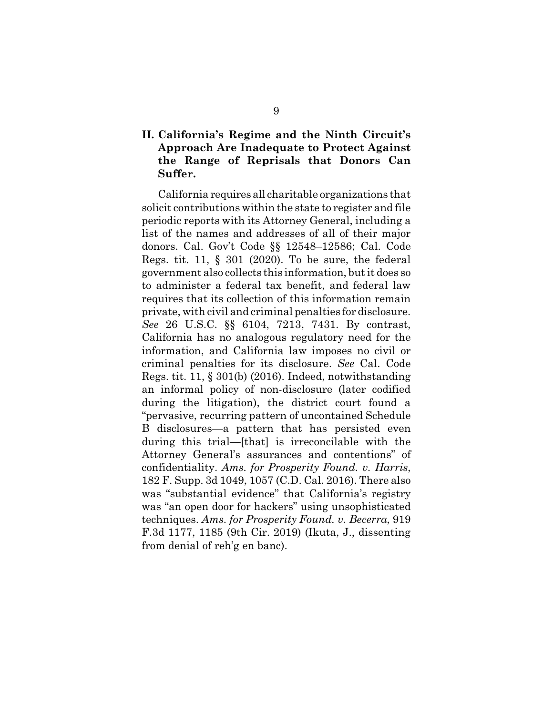## **II. California's Regime and the Ninth Circuit's Approach Are Inadequate to Protect Against the Range of Reprisals that Donors Can Suffer.**

California requires all charitable organizations that solicit contributions within the state to register and file periodic reports with its Attorney General, including a list of the names and addresses of all of their major donors. Cal. Gov't Code §§ 12548–12586; Cal. Code Regs. tit. 11,  $\S$  301 (2020). To be sure, the federal government also collects this information, but it does so to administer a federal tax benefit, and federal law requires that its collection of this information remain private, with civil and criminal penalties for disclosure. *See* 26 U.S.C. §§ 6104, 7213, 7431. By contrast, California has no analogous regulatory need for the information, and California law imposes no civil or criminal penalties for its disclosure. *See* Cal. Code Regs. tit. 11, § 301(b) (2016). Indeed, notwithstanding an informal policy of non-disclosure (later codified during the litigation), the district court found a "pervasive, recurring pattern of uncontained Schedule B disclosures—a pattern that has persisted even during this trial—[that] is irreconcilable with the Attorney General's assurances and contentions" of confidentiality. *Ams. for Prosperity Found. v. Harris*, 182 F. Supp. 3d 1049, 1057 (C.D. Cal. 2016). There also was "substantial evidence" that California's registry was "an open door for hackers" using unsophisticated techniques. *Ams. for Prosperity Found. v. Becerra*, 919 F.3d 1177, 1185 (9th Cir. 2019) (Ikuta, J., dissenting from denial of reh'g en banc).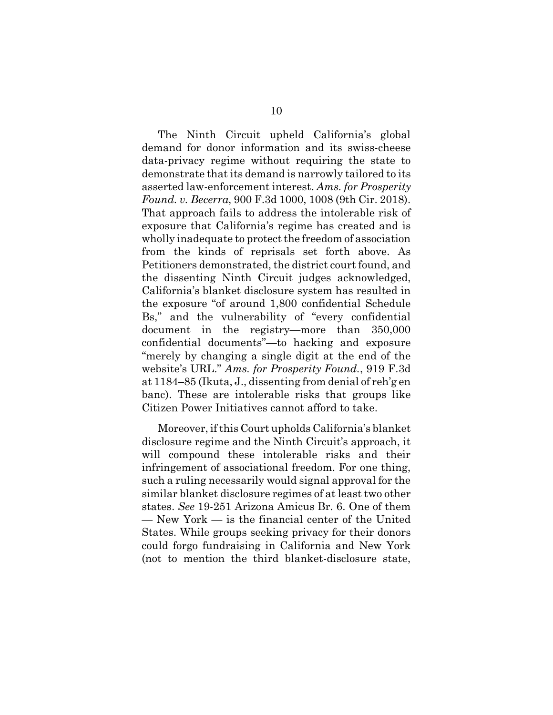The Ninth Circuit upheld California's global demand for donor information and its swiss-cheese data-privacy regime without requiring the state to demonstrate that its demand is narrowly tailored to its asserted law-enforcement interest. *Ams. for Prosperity Found. v. Becerra*, 900 F.3d 1000, 1008 (9th Cir. 2018). That approach fails to address the intolerable risk of exposure that California's regime has created and is wholly inadequate to protect the freedom of association from the kinds of reprisals set forth above. As Petitioners demonstrated, the district court found, and the dissenting Ninth Circuit judges acknowledged, California's blanket disclosure system has resulted in the exposure "of around 1,800 confidential Schedule Bs," and the vulnerability of "every confidential document in the registry—more than 350,000 confidential documents"—to hacking and exposure "merely by changing a single digit at the end of the website's URL." *Ams. for Prosperity Found.*, 919 F.3d at 1184–85 (Ikuta, J., dissenting from denial of reh'g en banc). These are intolerable risks that groups like Citizen Power Initiatives cannot afford to take.

Moreover, if this Court upholds California's blanket disclosure regime and the Ninth Circuit's approach, it will compound these intolerable risks and their infringement of associational freedom. For one thing, such a ruling necessarily would signal approval for the similar blanket disclosure regimes of at least two other states. *See* 19-251 Arizona Amicus Br. 6. One of them — New York — is the financial center of the United States. While groups seeking privacy for their donors could forgo fundraising in California and New York (not to mention the third blanket-disclosure state,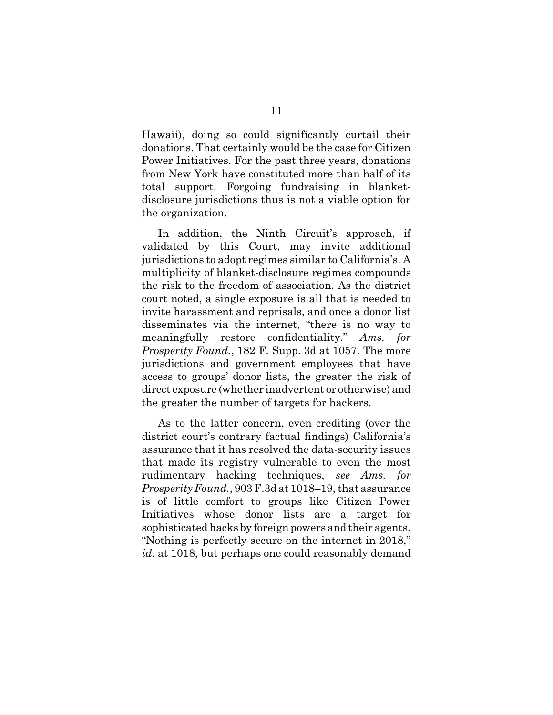Hawaii), doing so could significantly curtail their donations. That certainly would be the case for Citizen Power Initiatives. For the past three years, donations from New York have constituted more than half of its total support. Forgoing fundraising in blanketdisclosure jurisdictions thus is not a viable option for the organization.

In addition, the Ninth Circuit's approach, if validated by this Court, may invite additional jurisdictions to adopt regimes similar to California's. A multiplicity of blanket-disclosure regimes compounds the risk to the freedom of association. As the district court noted, a single exposure is all that is needed to invite harassment and reprisals, and once a donor list disseminates via the internet, "there is no way to meaningfully restore confidentiality." *Ams. for Prosperity Found.*, 182 F. Supp. 3d at 1057. The more jurisdictions and government employees that have access to groups' donor lists, the greater the risk of direct exposure (whether inadvertent or otherwise) and the greater the number of targets for hackers.

As to the latter concern, even crediting (over the district court's contrary factual findings) California's assurance that it has resolved the data-security issues that made its registry vulnerable to even the most rudimentary hacking techniques, *see Ams. for Prosperity Found.*, 903 F.3d at 1018–19, that assurance is of little comfort to groups like Citizen Power Initiatives whose donor lists are a target for sophisticated hacks by foreign powers and their agents. "Nothing is perfectly secure on the internet in 2018," *id.* at 1018, but perhaps one could reasonably demand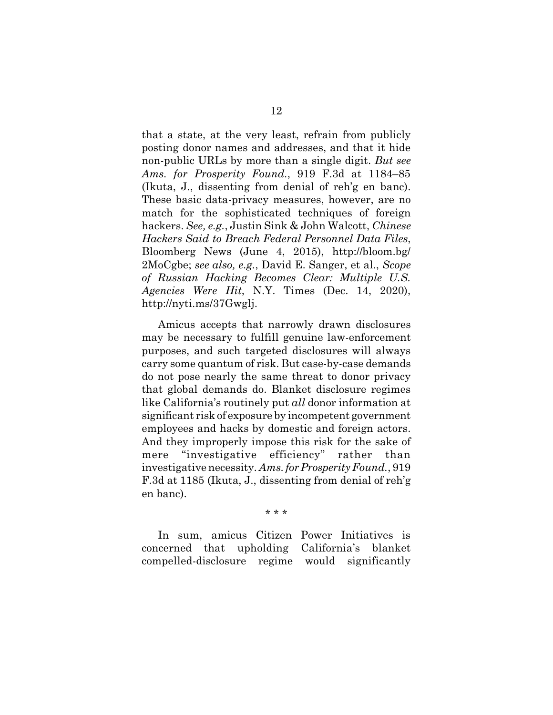that a state, at the very least, refrain from publicly posting donor names and addresses, and that it hide non-public URLs by more than a single digit. *But see Ams. for Prosperity Found.*, 919 F.3d at 1184–85 (Ikuta, J., dissenting from denial of reh'g en banc). These basic data-privacy measures, however, are no match for the sophisticated techniques of foreign hackers. *See, e.g.*, Justin Sink & John Walcott, *Chinese Hackers Said to Breach Federal Personnel Data Files*, Bloomberg News (June 4, 2015), http://bloom.bg/ 2MoCgbe; *see also, e.g.*, David E. Sanger, et al., *Scope of Russian Hacking Becomes Clear: Multiple U.S. Agencies Were Hit*, N.Y. Times (Dec. 14, 2020), http://nyti.ms/37Gwglj.

Amicus accepts that narrowly drawn disclosures may be necessary to fulfill genuine law-enforcement purposes, and such targeted disclosures will always carry some quantum of risk. But case-by-case demands do not pose nearly the same threat to donor privacy that global demands do. Blanket disclosure regimes like California's routinely put *all* donor information at significant risk of exposure by incompetent government employees and hacks by domestic and foreign actors. And they improperly impose this risk for the sake of mere "investigative efficiency" rather than investigative necessity. *Ams. for Prosperity Found.*, 919 F.3d at 1185 (Ikuta, J., dissenting from denial of reh'g en banc).

\* \* \*

In sum, amicus Citizen Power Initiatives is concerned that upholding California's blanket compelled-disclosure regime would significantly